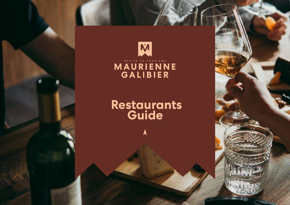

## **Restaurants Guide**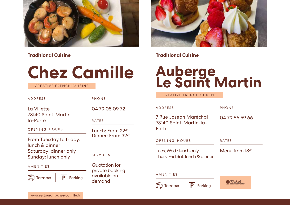

**Traditional Cuisine**

# **Chez Camille**

#### CREATIVE FRENCH CUISINE

| <b>ADDRESS</b>                              | PHONE                                     |
|---------------------------------------------|-------------------------------------------|
| La Villette<br>73140 Saint-Martin-          | 04 79 05 09 72                            |
| la-Porte                                    | <b>RATES</b>                              |
| OPENING HOURS                               | Tunch: From 22€                           |
| From Tuesday to friday:<br>lunch & dinner   | Dinner: From 32€                          |
| Saturday: dinner only<br>Sunday: lunch only | <b>SERVICES</b>                           |
| <b>AMENITIES</b>                            | Quotation for                             |
| Terrasse<br>Parking                         | private booking<br>available on<br>demand |



**Traditional Cuisine**

# **Auberge Le Saint Martin**

CREATIVE FRENCH CUISINE

| <b>ADDRESS</b>                                           | PHONE          |
|----------------------------------------------------------|----------------|
| 7 Rue Joseph Maréchal<br>73140 Saint-Martin-la-<br>Porte | 04 79 56 59 66 |
| OPENING HOURS                                            | RATES          |
| Tues, Wed: lunch only<br>Thurs. Frid.Sat: lunch & dinner | Menu from 18€  |
| A MENUTICO                                               |                |

#### AMENITIES



Terrasse **P** Parking

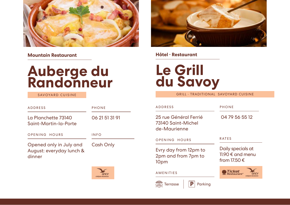

**Mountain Restaurant**

# **Auberge du Randonneur**

SAVOYARD CUISINE

| <b>ADDRESS</b>                                                | PHONE          |
|---------------------------------------------------------------|----------------|
| La Planchette 73140<br>Saint-Martin-la-Porte                  | 06 21 51 31 91 |
| OPENING HOURS                                                 | <b>INFO</b>    |
| Opened only in July and<br>August: everyday lunch &<br>dinner | Cash Only      |





**Hôtel · Restaurant**

**Le Grill du Savoy**

GRILL · TRADITIONAL SAVOYARD CUISINE

ADDRESS PHONE 25 rue Général Ferrié 04 79 56 55 12 73140 Saint-Michel de-Maurienne RATES OPENING HOURS Daily specials at Evry day from 12pm to 11.90 € and menu 2pm and from 7pm to from 17.50 € 10pm Ticket AMENITIES  $\overline{a}$ ncy CHÔQUE-VACANCES Terrasse **P** Parking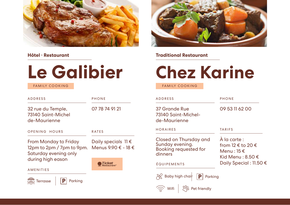

**Hôtel · Restaurant**

# **Le Galibier**

### FAMILY COOKING

| <b>ADDRESS</b>                                                              | <b>PHONE</b>                                  |
|-----------------------------------------------------------------------------|-----------------------------------------------|
| 32 rue du Temple,<br>73140 Saint-Michel<br>de-Maurienne                     | 07 78 74 91 21                                |
| OPENING HOURS                                                               | <b>RATES</b>                                  |
| From Monday to Friday<br>12pm to 2pm / 7pm to 9pm.<br>Saturday evening only | Daily specials $11 \in$<br>Menus 990 € - 18 € |
| during high eason<br><b>AMENITIES</b>                                       |                                               |
| Terrasse<br>Parkina                                                         |                                               |

**Traditional Restaurant**

# **Chez Karine**

FAMILY COOKING

| <b>ADDRESS</b>                                                                               | PHONF                                                                                                |
|----------------------------------------------------------------------------------------------|------------------------------------------------------------------------------------------------------|
| 37 Grande Rue<br>73140 Saint-Michel-<br>de-Maurienne                                         | 09 53 11 62 00                                                                                       |
| <b>HORAIRES</b>                                                                              | <b>TARIFS</b>                                                                                        |
| Closed on Thursday and<br>Sunday evening.<br>Booking requested for<br>dinners<br>ÉQUIPEMENTS | À la carte :<br>from 12 € to 20 €<br>Menu : 15 $\in$<br>Kid Menu : 8.50 €<br>Daily Special : 11.50 € |
| $\otimes$ Baby high chai <b>t</b> $\boxed{\mathsf{P}}$ Parking                               |                                                                                                      |
| $\widehat{\mathcal{D}}$ Wifi<br>Pet friendly                                                 |                                                                                                      |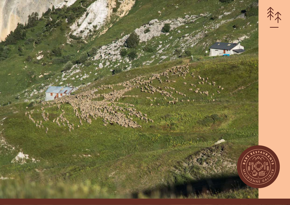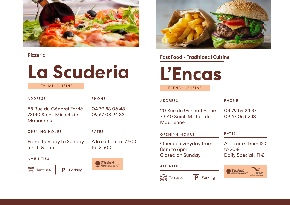

## **Pizzeria**

# **La Scuderia**

### ITALIAN CUISINE

| <b>ADDRESS</b>                                                  | <b>PHONE</b>                             |
|-----------------------------------------------------------------|------------------------------------------|
| 58 Rue du Général Ferrié<br>73140 Saint-Michel-de-<br>Maurienne | 04 79 83 06 48<br>09 67 08 94 33         |
| <b>OPENING HOURS</b>                                            | <b>RATES</b>                             |
| From thursday to Sunday:<br>lunch & dinner                      | A la carte from 7.50 $\in$<br>to 12.50 € |
| <b>AMENITIES</b><br><b>Terrasse</b><br>Parkina                  |                                          |



## **Fast Food - Traditional Cuisine**

| <b>L'Encas</b>                                                  |                                                           |
|-----------------------------------------------------------------|-----------------------------------------------------------|
| <b>FRENCH CUISINE</b>                                           |                                                           |
| <b>ADDRESS</b>                                                  | PHONF                                                     |
| 20 Rue du Général Ferrié<br>73140 Saint-Michel-de-<br>Maurienne | 04 79 59 24 37<br>09 67 06 52 13                          |
| OPENING HOURS                                                   | <b>RATFS</b>                                              |
| Opened everyday from<br>8am to 6pm<br>Closed on Sunday          | À la carte : from 12 €<br>to 20 €<br>Daily Special : 11 € |
| <b>AMENITIES</b>                                                |                                                           |
| Terrasse                                                        |                                                           |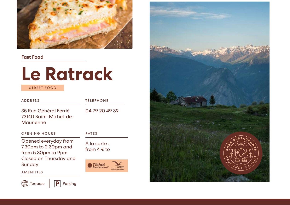

### **Fast Food**

# **Le Ratrack**

#### STREET FOOD

| <b>ADDRESS</b>                                  | TÉLÉPHONE      |
|-------------------------------------------------|----------------|
| 35 Rue Général Ferrié<br>73140 Saint-Michel-de- | 04 79 20 49 39 |
| Maurienne                                       |                |

#### OPENING HOURS

Opened everyday from 7.30am to 2.30pm and from 5.30pm to 9pm Closed on Thursday and Sunday

#### AMENITIES



### RATES

À la carte : from  $4 \notin \mathsf{to}$